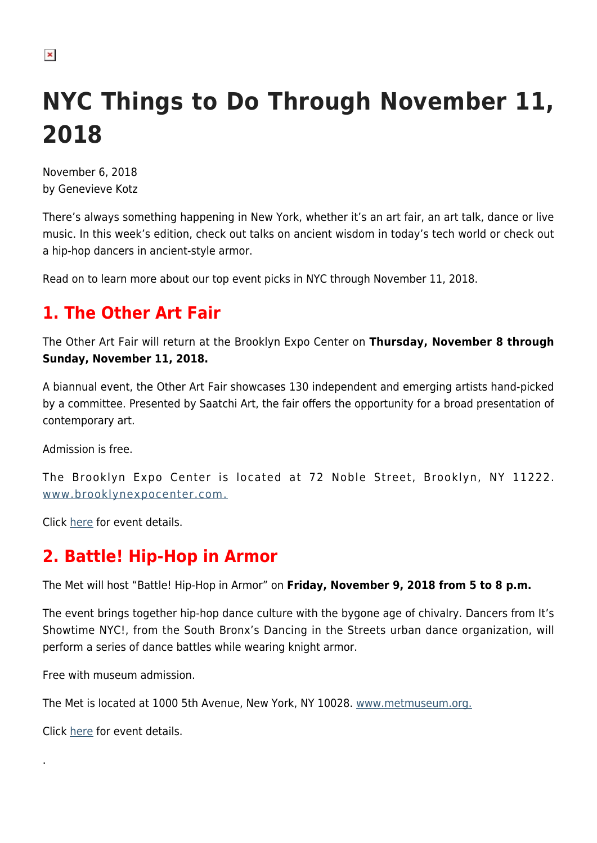# **NYC Things to Do Through November 11, 2018**

November 6, 2018 by Genevieve Kotz

There's always something happening in New York, whether it's an art fair, an art talk, dance or live music. In this week's edition, check out talks on ancient wisdom in today's tech world or check out a hip-hop dancers in ancient-style armor.

Read on to learn more about our top event picks in NYC through November 11, 2018.

## **1. The Other Art Fair**

The Other Art Fair will return at the Brooklyn Expo Center on **Thursday, November 8 through Sunday, November 11, 2018.**

A biannual event, the Other Art Fair showcases 130 independent and emerging artists hand-picked by a committee. Presented by Saatchi Art, the fair offers the opportunity for a broad presentation of contemporary art.

Admission is free.

The Brooklyn Expo Center is located at 72 Noble Street, Brooklyn, NY 11222. [www.brooklynexpocenter.com.](https://brooklynexpocenter.com/)

Click [here](https://brooklynexpocenter.com/event/the-other-art-fair-3/) for event details.

## **2. Battle! Hip-Hop in Armor**

The Met will host "Battle! Hip-Hop in Armor" on **Friday, November 9, 2018 from 5 to 8 p.m.**

The event brings together hip-hop dance culture with the bygone age of chivalry. Dancers from It's Showtime NYC!, from the South Bronx's Dancing in the Streets urban dance organization, will perform a series of dance battles while wearing knight armor.

Free with museum admission.

The Met is located at 1000 5th Avenue, New York, NY 10028. [www.metmuseum.org.](https://www.metmuseum.org/)

Click [here](https://www.metmuseum.org/events/programs/met-live-arts/battle-hip-hop-in-armor-2?eid=A001_%7b46239BBA-9646-4785-AD6A-28253B240FD9%7d_20180425154202&program=MetLiveArts&location=main%7cbreuer%7ccloisters&endDate=11%2f11%2f2018+11%3a59%3a59+PM&startDate=11) for event details.

.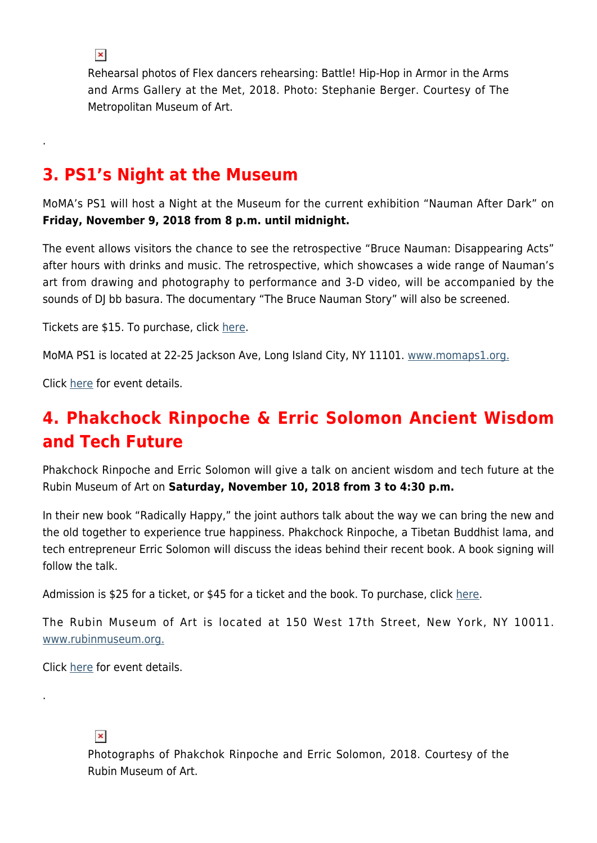Rehearsal photos of Flex dancers rehearsing: Battle! Hip-Hop in Armor in the Arms and Arms Gallery at the Met, 2018. Photo: Stephanie Berger. Courtesy of The Metropolitan Museum of Art.

#### **3. PS1's Night at the Museum**

MoMA's PS1 will host a Night at the Museum for the current exhibition "Nauman After Dark" on **Friday, November 9, 2018 from 8 p.m. until midnight.**

The event allows visitors the chance to see the retrospective "Bruce Nauman: Disappearing Acts" after hours with drinks and music. The retrospective, which showcases a wide range of Nauman's art from drawing and photography to performance and 3-D video, will be accompanied by the sounds of DJ bb basura. The documentary "The Bruce Nauman Story" will also be screened.

Tickets are \$15. To purchase, click [here.](https://www.eventbrite.com/e/night-at-the-museum-nauman-after-dark-tickets-51672331334)

MoMA PS1 is located at 22-25 Jackson Ave, Long Island City, NY 11101. [www.momaps1.org.](https://momaps1.org/)

Click [here](https://www.moma.org/calendar/events/4856?utm_medium=email&utm_campaign=MoMA%20PS1_NATM%20Nauman%20102418&utm_content=MoMA%20PS1_NATM%20Nauman%20102418+CID_dbda1ead8f84ab2c77972efa8b9618ae&utm_source=campaignmonitor) for event details.

## **4. Phakchock Rinpoche & Erric Solomon Ancient Wisdom and Tech Future**

Phakchock Rinpoche and Erric Solomon will give a talk on ancient wisdom and tech future at the Rubin Museum of Art on **Saturday, November 10, 2018 from 3 to 4:30 p.m.**

In their new book "Radically Happy," the joint authors talk about the way we can bring the new and the old together to experience true happiness. Phakchock Rinpoche, a Tibetan Buddhist lama, and tech entrepreneur Erric Solomon will discuss the ideas behind their recent book. A book signing will follow the talk.

Admission is \$25 for a ticket, or \$45 for a ticket and the book. To purchase, click [here.](https://tickets.rubinmuseum.org/orders/327/tickets?eventId=5b58f573554bd417c883e119&date=2018-11-10T00:00:00-0500&cart&_ga=2.142295611.802717348.1541090927-962069049.1541090927)

The Rubin Museum of Art is located at 150 West 17th Street, New York, NY 10011. [www.rubinmuseum.org.](http://rubinmuseum.org/)

Click [here](http://rubinmuseum.org/events/event/future-karma-phakchok-rinpoche-erric-solomon-11-10-2018?utm_source=All+Subscribers&utm_campaign=432fe3702e-EMAIL_CAMPAIGN_2018_02_16_COPY_01&utm_medium=email&utm_term=0_976384051a-432fe3702e-145389437) for event details.

#### $\pmb{\times}$

.

Photographs of Phakchok Rinpoche and Erric Solomon, 2018. Courtesy of the Rubin Museum of Art.

 $\pmb{\times}$ 

.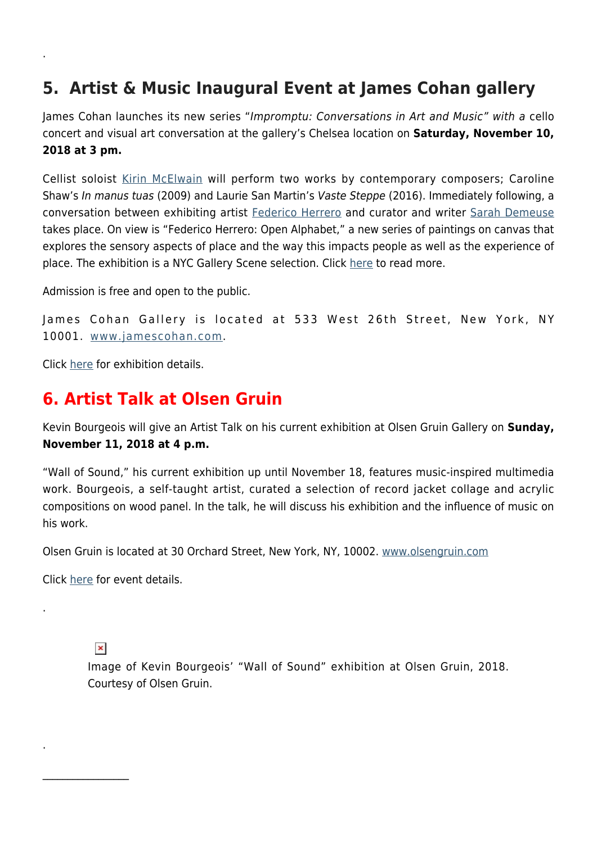## **5. Artist & Music Inaugural Event at James Cohan gallery**

James Cohan launches its new series "Impromptu: Conversations in Art and Music" with a cello concert and visual art conversation at the gallery's Chelsea location on **Saturday, November 10, 2018 at 3 pm.** 

Cellist soloist [Kirin McElwain](http://ennouncement.exhibit-e.com/t/y-l-kdkrlik-tilktddyf-t/) will perform two works by contemporary composers; Caroline Shaw's In manus tuas (2009) and Laurie San Martin's Vaste Steppe (2016). Immediately following, a conversation between exhibiting artist [Federico Herrero](http://ennouncement.exhibit-e.com/t/y-l-kdkrlik-tilktddyf-i/) and curator and writer [Sarah Demeuse](http://ennouncement.exhibit-e.com/t/y-l-kdkrlik-tilktddyf-d/) takes place. On view is "Federico Herrero: Open Alphabet," a new series of paintings on canvas that explores the sensory aspects of place and the way this impacts people as well as the experience of place. The exhibition is a NYC Gallery Scene selection. Click [here](https://hamptonsarthub.com/2018/10/23/exhibitions-nyc-gallery-scene-new-shows-opening-through-oct-28-2018/) to read more.

Admission is free and open to the public.

```
James Cohan Gallery is located at 533 West 26th Street, New York, NY
10001. www.jamescohan.com.
```
Click [here](https://www.jamescohan.com/exhibitions/federico-herrero?view=slider#28) for exhibition details.

.

#### **6. Artist Talk at Olsen Gruin**

Kevin Bourgeois will give an Artist Talk on his current exhibition at Olsen Gruin Gallery on **Sunday, November 11, 2018 at 4 p.m.**

"Wall of Sound," his current exhibition up until November 18, features music-inspired multimedia work. Bourgeois, a self-taught artist, curated a selection of record jacket collage and acrylic compositions on wood panel. In the talk, he will discuss his exhibition and the influence of music on his work.

Olsen Gruin is located at 30 Orchard Street, New York, NY, 10002. [www.olsengruin.com](https://www.olsengruin.com)

Click [here](https://www.olsengruin.com/) for event details.

#### $\pmb{\times}$

 $\frac{1}{2}$ 

.

.

Image of Kevin Bourgeois' "Wall of Sound" exhibition at Olsen Gruin, 2018. Courtesy of Olsen Gruin.